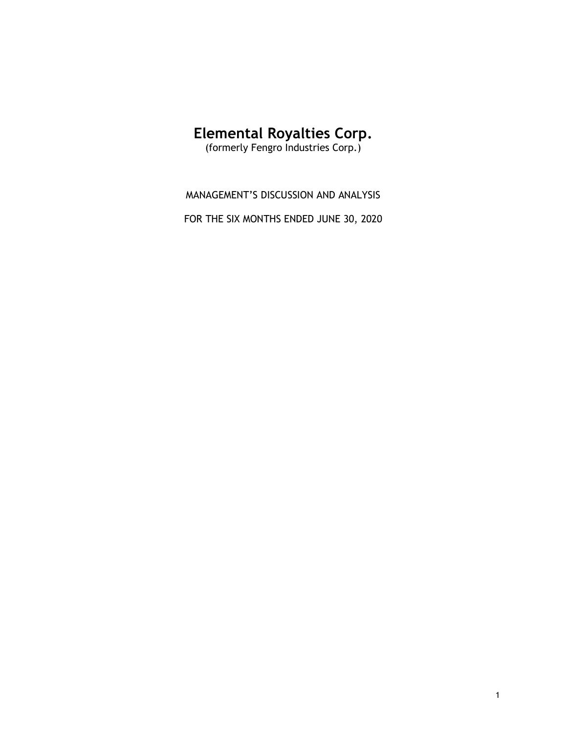# Elemental Royalties Corp.

(formerly Fengro Industries Corp.)

MANAGEMENT'S DISCUSSION AND ANALYSIS

FOR THE SIX MONTHS ENDED JUNE 30, 2020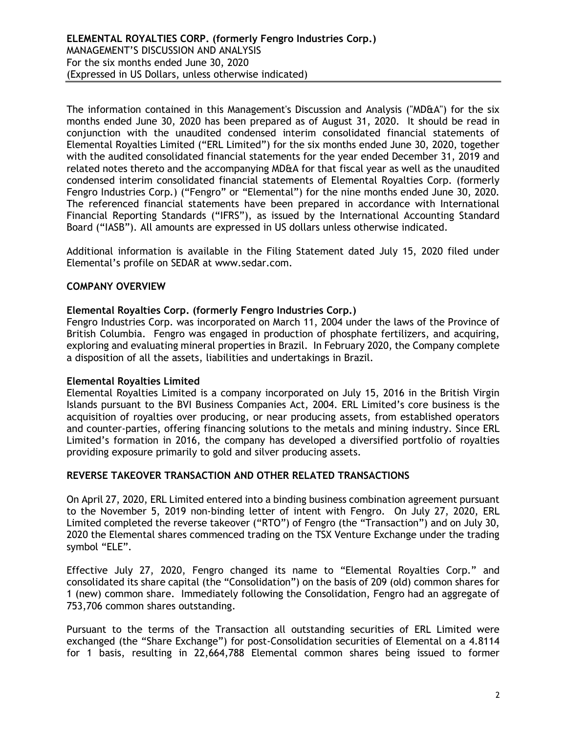The information contained in this Management's Discussion and Analysis ("MD&A") for the six months ended June 30, 2020 has been prepared as of August 31, 2020. It should be read in conjunction with the unaudited condensed interim consolidated financial statements of Elemental Royalties Limited ("ERL Limited") for the six months ended June 30, 2020, together with the audited consolidated financial statements for the year ended December 31, 2019 and related notes thereto and the accompanying MD&A for that fiscal year as well as the unaudited condensed interim consolidated financial statements of Elemental Royalties Corp. (formerly Fengro Industries Corp.) ("Fengro" or "Elemental") for the nine months ended June 30, 2020. The referenced financial statements have been prepared in accordance with International Financial Reporting Standards ("IFRS"), as issued by the International Accounting Standard Board ("IASB"). All amounts are expressed in US dollars unless otherwise indicated.

Additional information is available in the Filing Statement dated July 15, 2020 filed under Elemental's profile on SEDAR at www.sedar.com.

## COMPANY OVERVIEW

#### Elemental Royalties Corp. (formerly Fengro Industries Corp.)

Fengro Industries Corp. was incorporated on March 11, 2004 under the laws of the Province of British Columbia. Fengro was engaged in production of phosphate fertilizers, and acquiring, exploring and evaluating mineral properties in Brazil. In February 2020, the Company complete a disposition of all the assets, liabilities and undertakings in Brazil.

#### Elemental Royalties Limited

Elemental Royalties Limited is a company incorporated on July 15, 2016 in the British Virgin Islands pursuant to the BVI Business Companies Act, 2004. ERL Limited's core business is the acquisition of royalties over producing, or near producing assets, from established operators and counter-parties, offering financing solutions to the metals and mining industry. Since ERL Limited's formation in 2016, the company has developed a diversified portfolio of royalties providing exposure primarily to gold and silver producing assets.

#### REVERSE TAKEOVER TRANSACTION AND OTHER RELATED TRANSACTIONS

On April 27, 2020, ERL Limited entered into a binding business combination agreement pursuant to the November 5, 2019 non-binding letter of intent with Fengro. On July 27, 2020, ERL Limited completed the reverse takeover ("RTO") of Fengro (the "Transaction") and on July 30, 2020 the Elemental shares commenced trading on the TSX Venture Exchange under the trading symbol "ELE".

Effective July 27, 2020, Fengro changed its name to "Elemental Royalties Corp." and consolidated its share capital (the "Consolidation") on the basis of 209 (old) common shares for 1 (new) common share. Immediately following the Consolidation, Fengro had an aggregate of 753,706 common shares outstanding.

Pursuant to the terms of the Transaction all outstanding securities of ERL Limited were exchanged (the "Share Exchange") for post-Consolidation securities of Elemental on a 4.8114 for 1 basis, resulting in 22,664,788 Elemental common shares being issued to former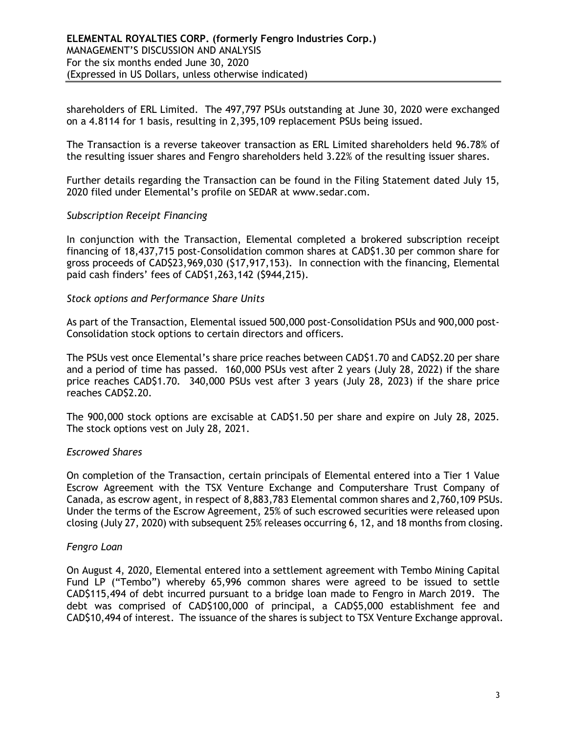shareholders of ERL Limited. The 497,797 PSUs outstanding at June 30, 2020 were exchanged on a 4.8114 for 1 basis, resulting in 2,395,109 replacement PSUs being issued.

The Transaction is a reverse takeover transaction as ERL Limited shareholders held 96.78% of the resulting issuer shares and Fengro shareholders held 3.22% of the resulting issuer shares.

Further details regarding the Transaction can be found in the Filing Statement dated July 15, 2020 filed under Elemental's profile on SEDAR at www.sedar.com.

#### Subscription Receipt Financing

In conjunction with the Transaction, Elemental completed a brokered subscription receipt financing of 18,437,715 post-Consolidation common shares at CAD\$1.30 per common share for gross proceeds of CAD\$23,969,030 (\$17,917,153). In connection with the financing, Elemental paid cash finders' fees of CAD\$1,263,142 (\$944,215).

#### Stock options and Performance Share Units

As part of the Transaction, Elemental issued 500,000 post-Consolidation PSUs and 900,000 post-Consolidation stock options to certain directors and officers.

The PSUs vest once Elemental's share price reaches between CAD\$1.70 and CAD\$2.20 per share and a period of time has passed. 160,000 PSUs vest after 2 years (July 28, 2022) if the share price reaches CAD\$1.70. 340,000 PSUs vest after 3 years (July 28, 2023) if the share price reaches CAD\$2.20.

The 900,000 stock options are excisable at CAD\$1.50 per share and expire on July 28, 2025. The stock options vest on July 28, 2021.

## Escrowed Shares

On completion of the Transaction, certain principals of Elemental entered into a Tier 1 Value Escrow Agreement with the TSX Venture Exchange and Computershare Trust Company of Canada, as escrow agent, in respect of 8,883,783 Elemental common shares and 2,760,109 PSUs. Under the terms of the Escrow Agreement, 25% of such escrowed securities were released upon closing (July 27, 2020) with subsequent 25% releases occurring 6, 12, and 18 months from closing.

#### Fengro Loan

On August 4, 2020, Elemental entered into a settlement agreement with Tembo Mining Capital Fund LP ("Tembo") whereby 65,996 common shares were agreed to be issued to settle CAD\$115,494 of debt incurred pursuant to a bridge loan made to Fengro in March 2019. The debt was comprised of CAD\$100,000 of principal, a CAD\$5,000 establishment fee and CAD\$10,494 of interest. The issuance of the shares is subject to TSX Venture Exchange approval.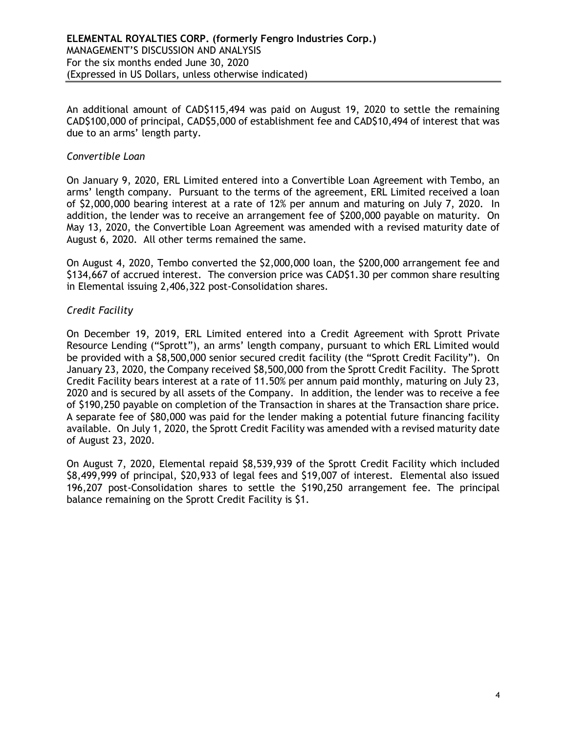An additional amount of CAD\$115,494 was paid on August 19, 2020 to settle the remaining CAD\$100,000 of principal, CAD\$5,000 of establishment fee and CAD\$10,494 of interest that was due to an arms' length party.

#### Convertible Loan

On January 9, 2020, ERL Limited entered into a Convertible Loan Agreement with Tembo, an arms' length company. Pursuant to the terms of the agreement, ERL Limited received a loan of \$2,000,000 bearing interest at a rate of 12% per annum and maturing on July 7, 2020. In addition, the lender was to receive an arrangement fee of \$200,000 payable on maturity. On May 13, 2020, the Convertible Loan Agreement was amended with a revised maturity date of August 6, 2020. All other terms remained the same.

On August 4, 2020, Tembo converted the \$2,000,000 loan, the \$200,000 arrangement fee and \$134,667 of accrued interest. The conversion price was CAD\$1.30 per common share resulting in Elemental issuing 2,406,322 post-Consolidation shares.

## Credit Facility

On December 19, 2019, ERL Limited entered into a Credit Agreement with Sprott Private Resource Lending ("Sprott"), an arms' length company, pursuant to which ERL Limited would be provided with a \$8,500,000 senior secured credit facility (the "Sprott Credit Facility"). On January 23, 2020, the Company received \$8,500,000 from the Sprott Credit Facility. The Sprott Credit Facility bears interest at a rate of 11.50% per annum paid monthly, maturing on July 23, 2020 and is secured by all assets of the Company. In addition, the lender was to receive a fee of \$190,250 payable on completion of the Transaction in shares at the Transaction share price. A separate fee of \$80,000 was paid for the lender making a potential future financing facility available. On July 1, 2020, the Sprott Credit Facility was amended with a revised maturity date of August 23, 2020.

On August 7, 2020, Elemental repaid \$8,539,939 of the Sprott Credit Facility which included \$8,499,999 of principal, \$20,933 of legal fees and \$19,007 of interest. Elemental also issued 196,207 post-Consolidation shares to settle the \$190,250 arrangement fee. The principal balance remaining on the Sprott Credit Facility is \$1.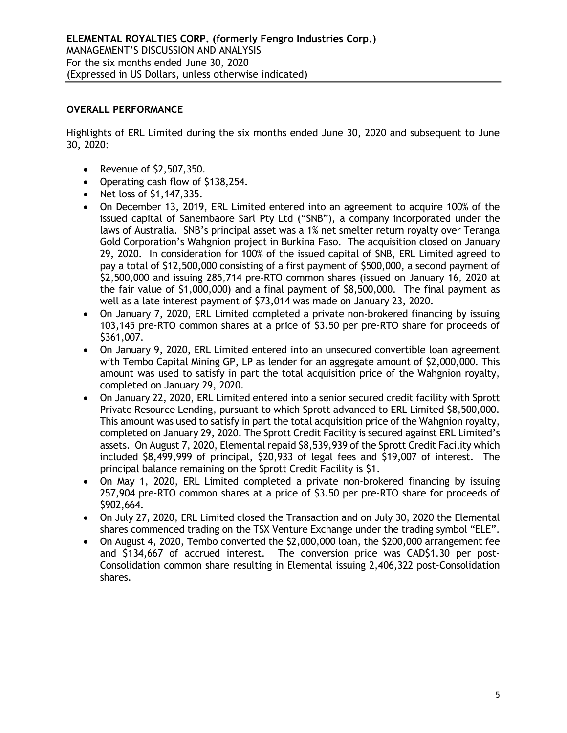## OVERALL PERFORMANCE

Highlights of ERL Limited during the six months ended June 30, 2020 and subsequent to June 30, 2020:

- Revenue of \$2,507,350.
- Operating cash flow of \$138,254.
- Net loss of \$1,147,335.
- On December 13, 2019, ERL Limited entered into an agreement to acquire 100% of the issued capital of Sanembaore Sarl Pty Ltd ("SNB"), a company incorporated under the laws of Australia. SNB's principal asset was a 1% net smelter return royalty over Teranga Gold Corporation's Wahgnion project in Burkina Faso. The acquisition closed on January 29, 2020. In consideration for 100% of the issued capital of SNB, ERL Limited agreed to pay a total of \$12,500,000 consisting of a first payment of \$500,000, a second payment of \$2,500,000 and issuing 285,714 pre-RTO common shares (issued on January 16, 2020 at the fair value of \$1,000,000) and a final payment of \$8,500,000. The final payment as well as a late interest payment of \$73,014 was made on January 23, 2020.
- On January 7, 2020, ERL Limited completed a private non-brokered financing by issuing 103,145 pre-RTO common shares at a price of \$3.50 per pre-RTO share for proceeds of \$361,007.
- On January 9, 2020, ERL Limited entered into an unsecured convertible loan agreement with Tembo Capital Mining GP, LP as lender for an aggregate amount of \$2,000,000. This amount was used to satisfy in part the total acquisition price of the Wahgnion royalty, completed on January 29, 2020.
- On January 22, 2020, ERL Limited entered into a senior secured credit facility with Sprott Private Resource Lending, pursuant to which Sprott advanced to ERL Limited \$8,500,000. This amount was used to satisfy in part the total acquisition price of the Wahgnion royalty, completed on January 29, 2020. The Sprott Credit Facility is secured against ERL Limited's assets. On August 7, 2020, Elemental repaid \$8,539,939 of the Sprott Credit Facility which included \$8,499,999 of principal, \$20,933 of legal fees and \$19,007 of interest. The principal balance remaining on the Sprott Credit Facility is \$1.
- On May 1, 2020, ERL Limited completed a private non-brokered financing by issuing 257,904 pre-RTO common shares at a price of \$3.50 per pre-RTO share for proceeds of \$902,664.
- On July 27, 2020, ERL Limited closed the Transaction and on July 30, 2020 the Elemental shares commenced trading on the TSX Venture Exchange under the trading symbol "ELE".
- On August 4, 2020, Tembo converted the \$2,000,000 loan, the \$200,000 arrangement fee and \$134,667 of accrued interest. The conversion price was CAD\$1.30 per post-Consolidation common share resulting in Elemental issuing 2,406,322 post-Consolidation shares.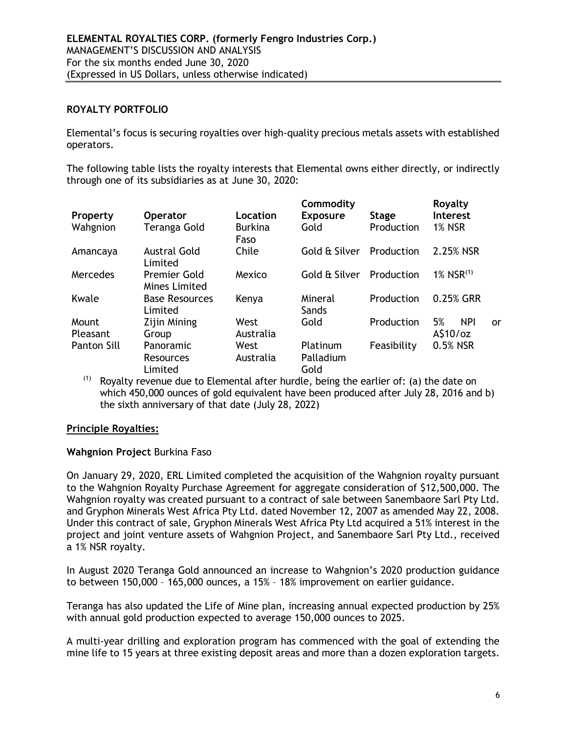## ROYALTY PORTFOLIO

Elemental's focus is securing royalties over high-quality precious metals assets with established operators.

The following table lists the royalty interests that Elemental owns either directly, or indirectly through one of its subsidiaries as at June 30, 2020:

| Property           | <b>Operator</b>                      | Location               | Commodity<br><b>Exposure</b> | <b>Stage</b> | Royalty<br><b>Interest</b> |           |
|--------------------|--------------------------------------|------------------------|------------------------------|--------------|----------------------------|-----------|
| Wahgnion           | Teranga Gold                         | <b>Burkina</b><br>Faso | Gold                         | Production   | <b>1% NSR</b>              |           |
| Amancaya           | <b>Austral Gold</b><br>Limited       | Chile                  | Gold & Silver                | Production   | 2.25% NSR                  |           |
| Mercedes           | <b>Premier Gold</b><br>Mines Limited | Mexico                 | Gold & Silver                | Production   | $1\%$ NSR <sup>(1)</sup>   |           |
| Kwale              | <b>Base Resources</b><br>Limited     | Kenya                  | Mineral<br>Sands             | Production   | 0.25% GRR                  |           |
| Mount              | Zijin Mining                         | West                   | Gold                         | Production   | 5%<br><b>NPI</b>           | <u>or</u> |
| Pleasant           | Group                                | Australia              |                              |              | A\$10/oz                   |           |
| <b>Panton Sill</b> | Panoramic                            | West                   | Platinum                     | Feasibility  | 0.5% NSR                   |           |
|                    | Resources<br>Limited                 | Australia              | Palladium<br>Gold            |              |                            |           |

 $(1)$  Rovalty revenue due to Elemental after hurdle, being the earlier of: (a) the date on which 450,000 ounces of gold equivalent have been produced after July 28, 2016 and b) the sixth anniversary of that date (July 28, 2022)

## Principle Royalties:

#### Wahgnion Project Burkina Faso

On January 29, 2020, ERL Limited completed the acquisition of the Wahgnion royalty pursuant to the Wahgnion Royalty Purchase Agreement for aggregate consideration of \$12,500,000. The Wahgnion royalty was created pursuant to a contract of sale between Sanembaore Sarl Pty Ltd. and Gryphon Minerals West Africa Pty Ltd. dated November 12, 2007 as amended May 22, 2008. Under this contract of sale, Gryphon Minerals West Africa Pty Ltd acquired a 51% interest in the project and joint venture assets of Wahgnion Project, and Sanembaore Sarl Pty Ltd., received a 1% NSR royalty.

In August 2020 Teranga Gold announced an increase to Wahgnion's 2020 production guidance to between 150,000 – 165,000 ounces, a 15% – 18% improvement on earlier guidance.

Teranga has also updated the Life of Mine plan, increasing annual expected production by 25% with annual gold production expected to average 150,000 ounces to 2025.

A multi-year drilling and exploration program has commenced with the goal of extending the mine life to 15 years at three existing deposit areas and more than a dozen exploration targets.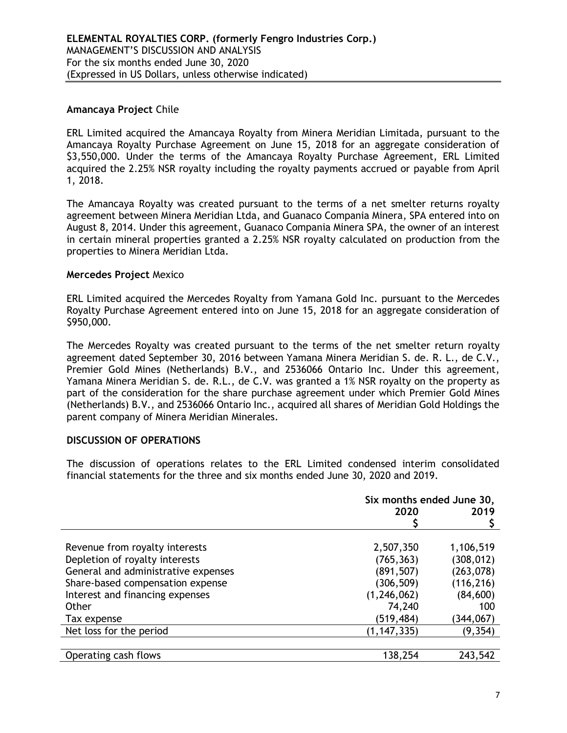## Amancaya Project Chile

ERL Limited acquired the Amancaya Royalty from Minera Meridian Limitada, pursuant to the Amancaya Royalty Purchase Agreement on June 15, 2018 for an aggregate consideration of \$3,550,000. Under the terms of the Amancaya Royalty Purchase Agreement, ERL Limited acquired the 2.25% NSR royalty including the royalty payments accrued or payable from April 1, 2018.

The Amancaya Royalty was created pursuant to the terms of a net smelter returns royalty agreement between Minera Meridian Ltda, and Guanaco Compania Minera, SPA entered into on August 8, 2014. Under this agreement, Guanaco Compania Minera SPA, the owner of an interest in certain mineral properties granted a 2.25% NSR royalty calculated on production from the properties to Minera Meridian Ltda.

#### Mercedes Project Mexico

ERL Limited acquired the Mercedes Royalty from Yamana Gold Inc. pursuant to the Mercedes Royalty Purchase Agreement entered into on June 15, 2018 for an aggregate consideration of \$950,000.

The Mercedes Royalty was created pursuant to the terms of the net smelter return royalty agreement dated September 30, 2016 between Yamana Minera Meridian S. de. R. L., de C.V., Premier Gold Mines (Netherlands) B.V., and 2536066 Ontario Inc. Under this agreement, Yamana Minera Meridian S. de. R.L., de C.V. was granted a 1% NSR royalty on the property as part of the consideration for the share purchase agreement under which Premier Gold Mines (Netherlands) B.V., and 2536066 Ontario Inc., acquired all shares of Meridian Gold Holdings the parent company of Minera Meridian Minerales.

## DISCUSSION OF OPERATIONS

The discussion of operations relates to the ERL Limited condensed interim consolidated financial statements for the three and six months ended June 30, 2020 and 2019.

|                                     | Six months ended June 30, |            |  |
|-------------------------------------|---------------------------|------------|--|
|                                     | 2020                      | 2019       |  |
|                                     |                           |            |  |
|                                     |                           |            |  |
| Revenue from royalty interests      | 2,507,350                 | 1,106,519  |  |
| Depletion of royalty interests      | (765, 363)                | (308, 012) |  |
| General and administrative expenses | (891, 507)                | (263, 078) |  |
| Share-based compensation expense    | (306, 509)                | (116, 216) |  |
| Interest and financing expenses     | (1, 246, 062)             | (84, 600)  |  |
| Other                               | 74,240                    | 100        |  |
| Tax expense                         | (519, 484)                | (344, 067) |  |
| Net loss for the period             | (1, 147, 335)             | (9, 354)   |  |
|                                     |                           |            |  |
| Operating cash flows                | 138,254                   | 243,542    |  |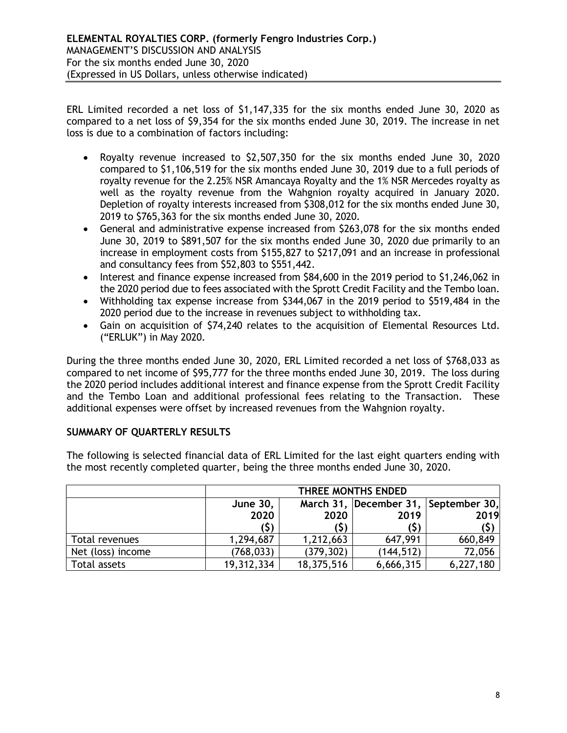ERL Limited recorded a net loss of \$1,147,335 for the six months ended June 30, 2020 as compared to a net loss of \$9,354 for the six months ended June 30, 2019. The increase in net loss is due to a combination of factors including:

- Royalty revenue increased to \$2,507,350 for the six months ended June 30, 2020 compared to \$1,106,519 for the six months ended June 30, 2019 due to a full periods of royalty revenue for the 2.25% NSR Amancaya Royalty and the 1% NSR Mercedes royalty as well as the royalty revenue from the Wahgnion royalty acquired in January 2020. Depletion of royalty interests increased from \$308,012 for the six months ended June 30, 2019 to \$765,363 for the six months ended June 30, 2020.
- General and administrative expense increased from \$263,078 for the six months ended June 30, 2019 to \$891,507 for the six months ended June 30, 2020 due primarily to an increase in employment costs from \$155,827 to \$217,091 and an increase in professional and consultancy fees from \$52,803 to \$551,442.
- Interest and finance expense increased from \$84,600 in the 2019 period to \$1,246,062 in the 2020 period due to fees associated with the Sprott Credit Facility and the Tembo loan.
- Withholding tax expense increase from \$344,067 in the 2019 period to \$519,484 in the 2020 period due to the increase in revenues subject to withholding tax.
- Gain on acquisition of \$74,240 relates to the acquisition of Elemental Resources Ltd. ("ERLUK") in May 2020.

During the three months ended June 30, 2020, ERL Limited recorded a net loss of \$768,033 as compared to net income of \$95,777 for the three months ended June 30, 2019. The loss during the 2020 period includes additional interest and finance expense from the Sprott Credit Facility and the Tembo Loan and additional professional fees relating to the Transaction. These additional expenses were offset by increased revenues from the Wahgnion royalty.

# SUMMARY OF QUARTERLY RESULTS

The following is selected financial data of ERL Limited for the last eight quarters ending with the most recently completed quarter, being the three months ended June 30, 2020.

|                   | THREE MONTHS ENDED                                         |            |            |           |  |  |
|-------------------|------------------------------------------------------------|------------|------------|-----------|--|--|
|                   | March 31, December 31,<br>September 30,<br><b>June 30,</b> |            |            |           |  |  |
|                   | 2020                                                       | 2020       | 2019       | 2019      |  |  |
|                   | (\$)                                                       |            | (Ş)        | (\$)      |  |  |
| Total revenues    | 1,294,687                                                  | 1,212,663  | 647,991    | 660,849   |  |  |
| Net (loss) income | (768, 033)                                                 | (379, 302) | (144, 512) | 72,056    |  |  |
| Total assets      | 19,312,334                                                 | 18,375,516 | 6,666,315  | 6,227,180 |  |  |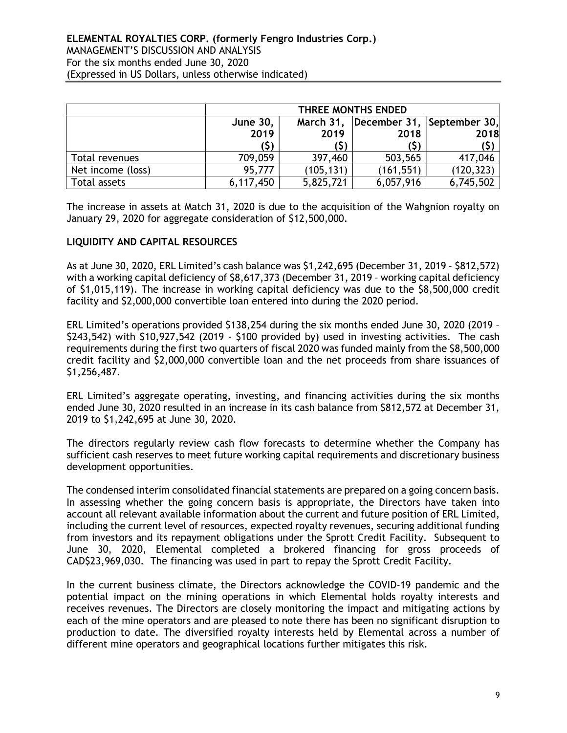|                   |                 | THREE MONTHS ENDED                      |            |            |  |  |
|-------------------|-----------------|-----------------------------------------|------------|------------|--|--|
|                   | <b>June 30,</b> | December 31, September 30,<br>March 31, |            |            |  |  |
|                   | 2019            | 2019                                    | 2018       | 2018       |  |  |
|                   | (\$)            | S)                                      | (\$)       |            |  |  |
| Total revenues    | 709,059         | 397,460                                 | 503,565    | 417,046    |  |  |
| Net income (loss) | 95,777          | (105, 131)                              | (161, 551) | (120, 323) |  |  |
| Total assets      | 6,117,450       | 5,825,721                               | 6,057,916  | 6,745,502  |  |  |

The increase in assets at Match 31, 2020 is due to the acquisition of the Wahgnion royalty on January 29, 2020 for aggregate consideration of \$12,500,000.

## LIQUIDITY AND CAPITAL RESOURCES

As at June 30, 2020, ERL Limited's cash balance was \$1,242,695 (December 31, 2019 - \$812,572) with a working capital deficiency of \$8,617,373 (December 31, 2019 – working capital deficiency of \$1,015,119). The increase in working capital deficiency was due to the \$8,500,000 credit facility and \$2,000,000 convertible loan entered into during the 2020 period.

ERL Limited's operations provided \$138,254 during the six months ended June 30, 2020 (2019 – \$243,542) with \$10,927,542 (2019 - \$100 provided by) used in investing activities. The cash requirements during the first two quarters of fiscal 2020 was funded mainly from the \$8,500,000 credit facility and \$2,000,000 convertible loan and the net proceeds from share issuances of \$1,256,487.

ERL Limited's aggregate operating, investing, and financing activities during the six months ended June 30, 2020 resulted in an increase in its cash balance from \$812,572 at December 31, 2019 to \$1,242,695 at June 30, 2020.

The directors regularly review cash flow forecasts to determine whether the Company has sufficient cash reserves to meet future working capital requirements and discretionary business development opportunities.

The condensed interim consolidated financial statements are prepared on a going concern basis. In assessing whether the going concern basis is appropriate, the Directors have taken into account all relevant available information about the current and future position of ERL Limited, including the current level of resources, expected royalty revenues, securing additional funding from investors and its repayment obligations under the Sprott Credit Facility. Subsequent to June 30, 2020, Elemental completed a brokered financing for gross proceeds of CAD\$23,969,030. The financing was used in part to repay the Sprott Credit Facility.

In the current business climate, the Directors acknowledge the COVID-19 pandemic and the potential impact on the mining operations in which Elemental holds royalty interests and receives revenues. The Directors are closely monitoring the impact and mitigating actions by each of the mine operators and are pleased to note there has been no significant disruption to production to date. The diversified royalty interests held by Elemental across a number of different mine operators and geographical locations further mitigates this risk.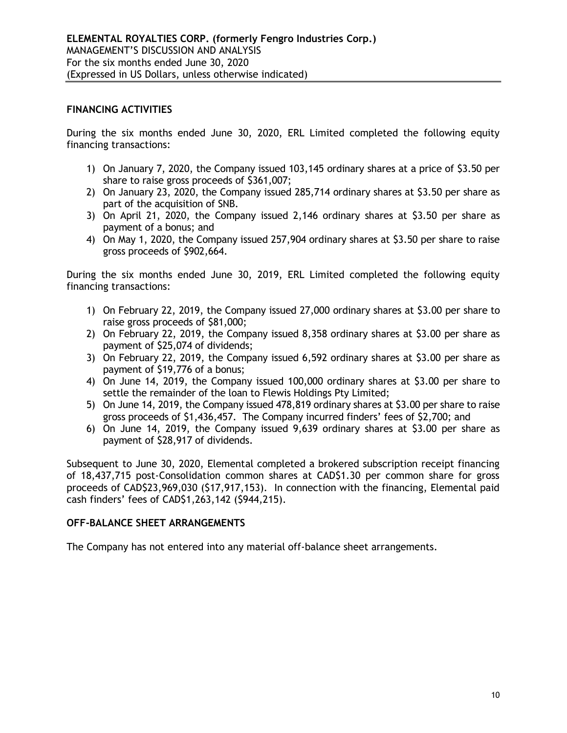## FINANCING ACTIVITIES

During the six months ended June 30, 2020, ERL Limited completed the following equity financing transactions:

- 1) On January 7, 2020, the Company issued 103,145 ordinary shares at a price of \$3.50 per share to raise gross proceeds of \$361,007;
- 2) On January 23, 2020, the Company issued 285,714 ordinary shares at \$3.50 per share as part of the acquisition of SNB.
- 3) On April 21, 2020, the Company issued 2,146 ordinary shares at \$3.50 per share as payment of a bonus; and
- 4) On May 1, 2020, the Company issued 257,904 ordinary shares at \$3.50 per share to raise gross proceeds of \$902,664.

During the six months ended June 30, 2019, ERL Limited completed the following equity financing transactions:

- 1) On February 22, 2019, the Company issued 27,000 ordinary shares at \$3.00 per share to raise gross proceeds of \$81,000;
- 2) On February 22, 2019, the Company issued 8,358 ordinary shares at \$3.00 per share as payment of \$25,074 of dividends;
- 3) On February 22, 2019, the Company issued 6,592 ordinary shares at \$3.00 per share as payment of \$19,776 of a bonus;
- 4) On June 14, 2019, the Company issued 100,000 ordinary shares at \$3.00 per share to settle the remainder of the loan to Flewis Holdings Pty Limited;
- 5) On June 14, 2019, the Company issued 478,819 ordinary shares at \$3.00 per share to raise gross proceeds of \$1,436,457. The Company incurred finders' fees of \$2,700; and
- 6) On June 14, 2019, the Company issued 9,639 ordinary shares at \$3.00 per share as payment of \$28,917 of dividends.

Subsequent to June 30, 2020, Elemental completed a brokered subscription receipt financing of 18,437,715 post-Consolidation common shares at CAD\$1.30 per common share for gross proceeds of CAD\$23,969,030 (\$17,917,153). In connection with the financing, Elemental paid cash finders' fees of CAD\$1,263,142 (\$944,215).

## OFF-BALANCE SHEET ARRANGEMENTS

The Company has not entered into any material off-balance sheet arrangements.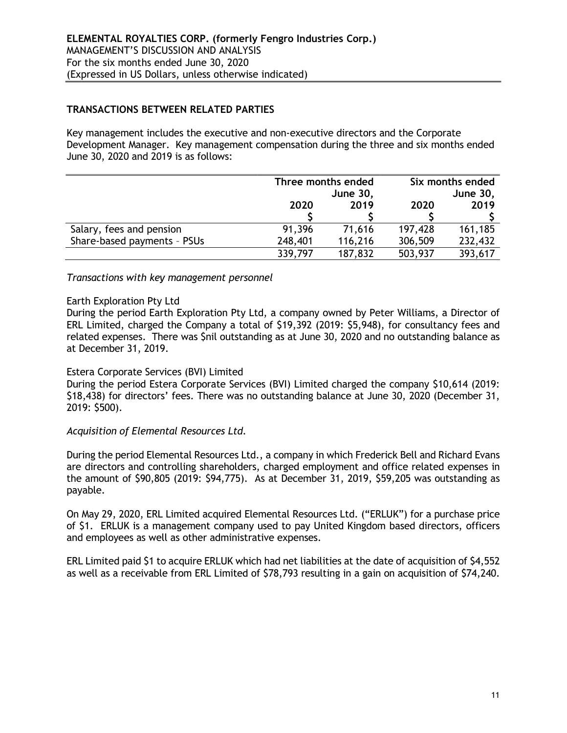## TRANSACTIONS BETWEEN RELATED PARTIES

Key management includes the executive and non-executive directors and the Corporate Development Manager. Key management compensation during the three and six months ended June 30, 2020 and 2019 is as follows:

|                             |         | Three months ended | Six months ended |         |  |
|-----------------------------|---------|--------------------|------------------|---------|--|
|                             |         | <b>June 30,</b>    | <b>June 30,</b>  |         |  |
|                             | 2020    | 2019               | 2020             | 2019    |  |
|                             |         |                    |                  |         |  |
| Salary, fees and pension    | 91,396  | 71,616             | 197,428          | 161,185 |  |
| Share-based payments - PSUs | 248,401 | 116,216            | 306,509          | 232,432 |  |
|                             | 339,797 | 187,832            | 503,937          | 393,617 |  |

Transactions with key management personnel

## Earth Exploration Pty Ltd

During the period Earth Exploration Pty Ltd, a company owned by Peter Williams, a Director of ERL Limited, charged the Company a total of \$19,392 (2019: \$5,948), for consultancy fees and related expenses. There was \$nil outstanding as at June 30, 2020 and no outstanding balance as at December 31, 2019.

## Estera Corporate Services (BVI) Limited

During the period Estera Corporate Services (BVI) Limited charged the company \$10,614 (2019: \$18,438) for directors' fees. There was no outstanding balance at June 30, 2020 (December 31, 2019: \$500).

## Acquisition of Elemental Resources Ltd.

During the period Elemental Resources Ltd., a company in which Frederick Bell and Richard Evans are directors and controlling shareholders, charged employment and office related expenses in the amount of \$90,805 (2019: \$94,775). As at December 31, 2019, \$59,205 was outstanding as payable.

On May 29, 2020, ERL Limited acquired Elemental Resources Ltd. ("ERLUK") for a purchase price of \$1. ERLUK is a management company used to pay United Kingdom based directors, officers and employees as well as other administrative expenses.

ERL Limited paid \$1 to acquire ERLUK which had net liabilities at the date of acquisition of \$4,552 as well as a receivable from ERL Limited of \$78,793 resulting in a gain on acquisition of \$74,240.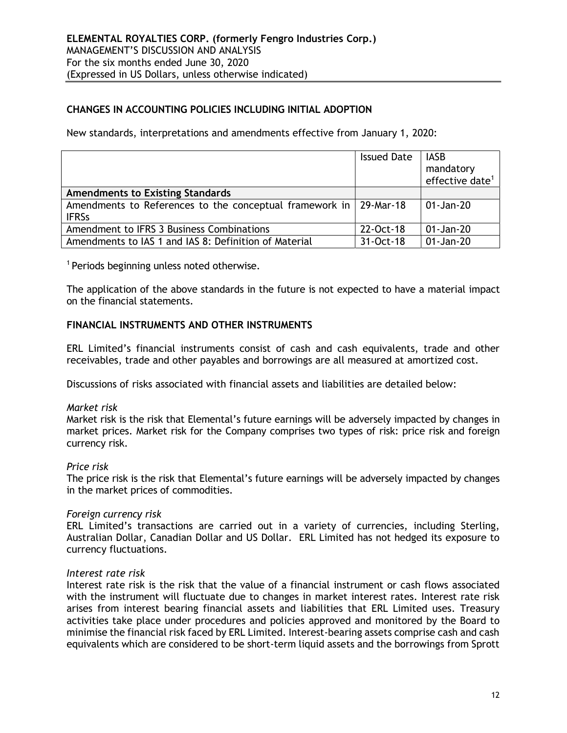# CHANGES IN ACCOUNTING POLICIES INCLUDING INITIAL ADOPTION

New standards, interpretations and amendments effective from January 1, 2020:

|                                                                                   | <b>Issued Date</b> | <b>IASB</b><br>mandatory<br>effective date <sup>1</sup> |
|-----------------------------------------------------------------------------------|--------------------|---------------------------------------------------------|
| <b>Amendments to Existing Standards</b>                                           |                    |                                                         |
| Amendments to References to the conceptual framework in 29-Mar-18<br><b>IFRSs</b> |                    | 01-Jan-20                                               |
| Amendment to IFRS 3 Business Combinations                                         | 22-Oct-18          | 01-Jan-20                                               |
| Amendments to IAS 1 and IAS 8: Definition of Material                             | 31-Oct-18          | 01-Jan-20                                               |

<sup>1</sup> Periods beginning unless noted otherwise.

The application of the above standards in the future is not expected to have a material impact on the financial statements.

#### FINANCIAL INSTRUMENTS AND OTHER INSTRUMENTS

ERL Limited's financial instruments consist of cash and cash equivalents, trade and other receivables, trade and other payables and borrowings are all measured at amortized cost.

Discussions of risks associated with financial assets and liabilities are detailed below:

#### Market risk

Market risk is the risk that Elemental's future earnings will be adversely impacted by changes in market prices. Market risk for the Company comprises two types of risk: price risk and foreign currency risk.

#### Price risk

The price risk is the risk that Elemental's future earnings will be adversely impacted by changes in the market prices of commodities.

#### Foreign currency risk

ERL Limited's transactions are carried out in a variety of currencies, including Sterling, Australian Dollar, Canadian Dollar and US Dollar. ERL Limited has not hedged its exposure to currency fluctuations.

#### Interest rate risk

Interest rate risk is the risk that the value of a financial instrument or cash flows associated with the instrument will fluctuate due to changes in market interest rates. Interest rate risk arises from interest bearing financial assets and liabilities that ERL Limited uses. Treasury activities take place under procedures and policies approved and monitored by the Board to minimise the financial risk faced by ERL Limited. Interest-bearing assets comprise cash and cash equivalents which are considered to be short-term liquid assets and the borrowings from Sprott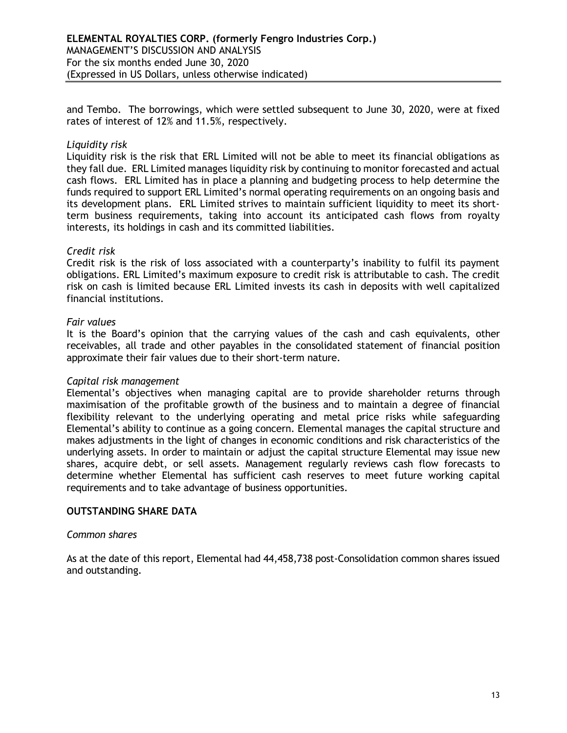and Tembo. The borrowings, which were settled subsequent to June 30, 2020, were at fixed rates of interest of 12% and 11.5%, respectively.

## Liquidity risk

Liquidity risk is the risk that ERL Limited will not be able to meet its financial obligations as they fall due. ERL Limited manages liquidity risk by continuing to monitor forecasted and actual cash flows. ERL Limited has in place a planning and budgeting process to help determine the funds required to support ERL Limited's normal operating requirements on an ongoing basis and its development plans. ERL Limited strives to maintain sufficient liquidity to meet its shortterm business requirements, taking into account its anticipated cash flows from royalty interests, its holdings in cash and its committed liabilities.

#### Credit risk

Credit risk is the risk of loss associated with a counterparty's inability to fulfil its payment obligations. ERL Limited's maximum exposure to credit risk is attributable to cash. The credit risk on cash is limited because ERL Limited invests its cash in deposits with well capitalized financial institutions.

#### Fair values

It is the Board's opinion that the carrying values of the cash and cash equivalents, other receivables, all trade and other payables in the consolidated statement of financial position approximate their fair values due to their short-term nature.

#### Capital risk management

Elemental's objectives when managing capital are to provide shareholder returns through maximisation of the profitable growth of the business and to maintain a degree of financial flexibility relevant to the underlying operating and metal price risks while safeguarding Elemental's ability to continue as a going concern. Elemental manages the capital structure and makes adjustments in the light of changes in economic conditions and risk characteristics of the underlying assets. In order to maintain or adjust the capital structure Elemental may issue new shares, acquire debt, or sell assets. Management regularly reviews cash flow forecasts to determine whether Elemental has sufficient cash reserves to meet future working capital requirements and to take advantage of business opportunities.

## OUTSTANDING SHARE DATA

#### Common shares

As at the date of this report, Elemental had 44,458,738 post-Consolidation common shares issued and outstanding.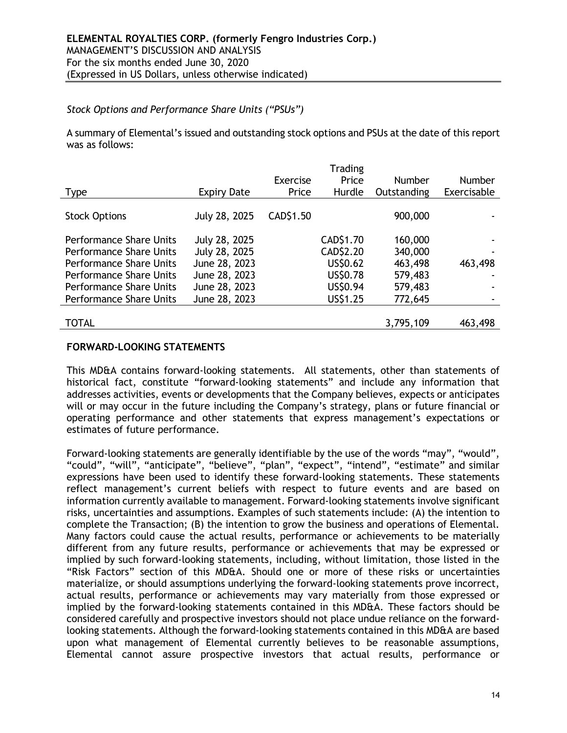## Stock Options and Performance Share Units ("PSUs")

A summary of Elemental's issued and outstanding stock options and PSUs at the date of this report was as follows:

|                    |           | Trading         |               |               |
|--------------------|-----------|-----------------|---------------|---------------|
|                    | Exercise  | Price           | <b>Number</b> | <b>Number</b> |
| <b>Expiry Date</b> | Price     | Hurdle          | Outstanding   | Exercisable   |
|                    |           |                 |               |               |
| July 28, 2025      | CAD\$1.50 |                 | 900,000       |               |
|                    |           |                 |               |               |
| July 28, 2025      |           | CAD\$1.70       | 160,000       |               |
| July 28, 2025      |           | CAD\$2.20       | 340,000       |               |
| June 28, 2023      |           | US\$0.62        | 463,498       | 463,498       |
| June 28, 2023      |           | <b>US\$0.78</b> | 579,483       |               |
| June 28, 2023      |           | US\$0.94        | 579,483       |               |
| June 28, 2023      |           | US\$1.25        | 772,645       |               |
|                    |           |                 |               |               |
|                    |           |                 | 3,795,109     | 463,498       |
|                    |           |                 |               |               |

## FORWARD-LOOKING STATEMENTS

This MD&A contains forward-looking statements. All statements, other than statements of historical fact, constitute "forward-looking statements" and include any information that addresses activities, events or developments that the Company believes, expects or anticipates will or may occur in the future including the Company's strategy, plans or future financial or operating performance and other statements that express management's expectations or estimates of future performance.

Forward-looking statements are generally identifiable by the use of the words "may", "would", "could", "will", "anticipate", "believe", "plan", "expect", "intend", "estimate" and similar expressions have been used to identify these forward-looking statements. These statements reflect management's current beliefs with respect to future events and are based on information currently available to management. Forward-looking statements involve significant risks, uncertainties and assumptions. Examples of such statements include: (A) the intention to complete the Transaction; (B) the intention to grow the business and operations of Elemental. Many factors could cause the actual results, performance or achievements to be materially different from any future results, performance or achievements that may be expressed or implied by such forward-looking statements, including, without limitation, those listed in the "Risk Factors" section of this MD&A. Should one or more of these risks or uncertainties materialize, or should assumptions underlying the forward-looking statements prove incorrect, actual results, performance or achievements may vary materially from those expressed or implied by the forward-looking statements contained in this MD&A. These factors should be considered carefully and prospective investors should not place undue reliance on the forwardlooking statements. Although the forward-looking statements contained in this MD&A are based upon what management of Elemental currently believes to be reasonable assumptions, Elemental cannot assure prospective investors that actual results, performance or